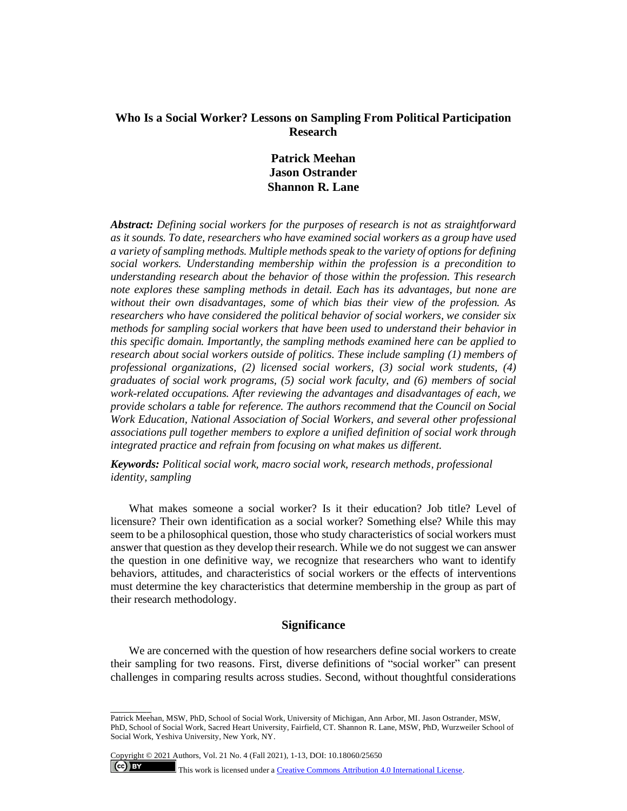## **Who Is a Social Worker? Lessons on Sampling From Political Participation Research**

# **Patrick Meehan Jason Ostrander Shannon R. Lane**

*Abstract: Defining social workers for the purposes of research is not as straightforward as it sounds. To date, researchers who have examined social workers as a group have used a variety of sampling methods. Multiple methods speak to the variety of options for defining social workers. Understanding membership within the profession is a precondition to understanding research about the behavior of those within the profession. This research note explores these sampling methods in detail. Each has its advantages, but none are without their own disadvantages, some of which bias their view of the profession. As researchers who have considered the political behavior of social workers, we consider six methods for sampling social workers that have been used to understand their behavior in this specific domain. Importantly, the sampling methods examined here can be applied to research about social workers outside of politics. These include sampling (1) members of professional organizations, (2) licensed social workers, (3) social work students, (4) graduates of social work programs, (5) social work faculty, and (6) members of social work-related occupations. After reviewing the advantages and disadvantages of each, we provide scholars a table for reference. The authors recommend that the Council on Social Work Education, National Association of Social Workers, and several other professional associations pull together members to explore a unified definition of social work through integrated practice and refrain from focusing on what makes us different.* 

*Keywords: Political social work, macro social work, research methods, professional identity, sampling*

What makes someone a social worker? Is it their education? Job title? Level of licensure? Their own identification as a social worker? Something else? While this may seem to be a philosophical question, those who study characteristics of social workers must answer that question as they develop their research. While we do not suggest we can answer the question in one definitive way, we recognize that researchers who want to identify behaviors, attitudes, and characteristics of social workers or the effects of interventions must determine the key characteristics that determine membership in the group as part of their research methodology.

## **Significance**

We are concerned with the question of how researchers define social workers to create their sampling for two reasons. First, diverse definitions of "social worker" can present challenges in comparing results across studies. Second, without thoughtful considerations

Copyright © 2021 Authors, Vol. 21 No. 4 (Fall 2021), 1-13, DOI: 10.18060/25650

\_\_\_\_\_\_\_\_\_

 $\left($ ce $\right)$  BY

This work is licensed under [a Creative Commons Attribution 4.0 International License.](about:blank)

Patrick Meehan, MSW, PhD, School of Social Work, University of Michigan, Ann Arbor, MI. Jason Ostrander, MSW, PhD, School of Social Work, Sacred Heart University, Fairfield, CT. Shannon R. Lane, MSW, PhD, Wurzweiler School of Social Work, Yeshiva University, New York, NY.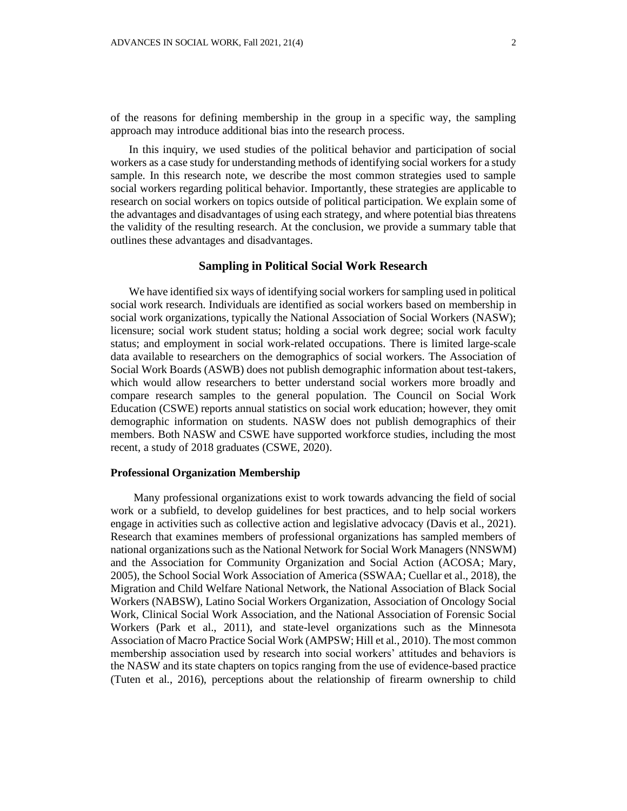of the reasons for defining membership in the group in a specific way, the sampling approach may introduce additional bias into the research process.

In this inquiry, we used studies of the political behavior and participation of social workers as a case study for understanding methods of identifying social workers for a study sample. In this research note, we describe the most common strategies used to sample social workers regarding political behavior. Importantly, these strategies are applicable to research on social workers on topics outside of political participation. We explain some of the advantages and disadvantages of using each strategy, and where potential bias threatens the validity of the resulting research. At the conclusion, we provide a summary table that outlines these advantages and disadvantages.

## **Sampling in Political Social Work Research**

We have identified six ways of identifying social workers for sampling used in political social work research. Individuals are identified as social workers based on membership in social work organizations, typically the National Association of Social Workers (NASW); licensure; social work student status; holding a social work degree; social work faculty status; and employment in social work-related occupations. There is limited large-scale data available to researchers on the demographics of social workers. The Association of Social Work Boards (ASWB) does not publish demographic information about test-takers, which would allow researchers to better understand social workers more broadly and compare research samples to the general population. The Council on Social Work Education (CSWE) reports annual statistics on social work education; however, they omit demographic information on students. NASW does not publish demographics of their members. Both NASW and CSWE have supported workforce studies, including the most recent, a study of 2018 graduates (CSWE, 2020).

### **Professional Organization Membership**

Many professional organizations exist to work towards advancing the field of social work or a subfield, to develop guidelines for best practices, and to help social workers engage in activities such as collective action and legislative advocacy (Davis et al., 2021). Research that examines members of professional organizations has sampled members of national organizations such as the National Network for Social Work Managers (NNSWM) and the Association for Community Organization and Social Action (ACOSA; Mary, 2005), the School Social Work Association of America (SSWAA; Cuellar et al., 2018), the Migration and Child Welfare National Network, the National Association of Black Social Workers (NABSW), Latino Social Workers Organization, Association of Oncology Social Work, Clinical Social Work Association, and the National Association of Forensic Social Workers (Park et al., 2011), and state-level organizations such as the Minnesota Association of Macro Practice Social Work (AMPSW; Hill et al., 2010). The most common membership association used by research into social workers' attitudes and behaviors is the NASW and its state chapters on topics ranging from the use of evidence-based practice (Tuten et al., 2016), perceptions about the relationship of firearm ownership to child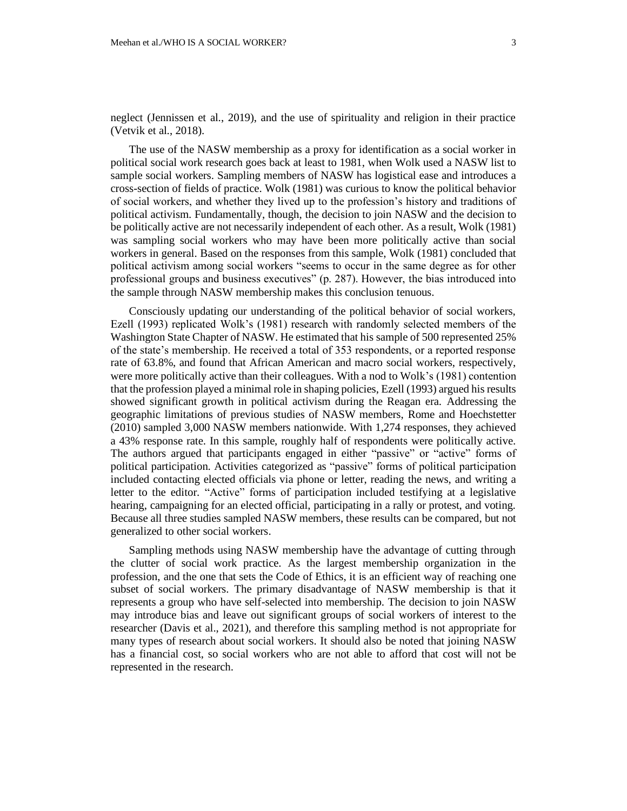neglect (Jennissen et al., 2019), and the use of spirituality and religion in their practice (Vetvik et al., 2018).

The use of the NASW membership as a proxy for identification as a social worker in political social work research goes back at least to 1981, when Wolk used a NASW list to sample social workers. Sampling members of NASW has logistical ease and introduces a cross-section of fields of practice. Wolk (1981) was curious to know the political behavior of social workers, and whether they lived up to the profession's history and traditions of political activism. Fundamentally, though, the decision to join NASW and the decision to be politically active are not necessarily independent of each other. As a result, Wolk (1981) was sampling social workers who may have been more politically active than social workers in general. Based on the responses from this sample, Wolk (1981) concluded that political activism among social workers "seems to occur in the same degree as for other professional groups and business executives" (p. 287). However, the bias introduced into the sample through NASW membership makes this conclusion tenuous.

Consciously updating our understanding of the political behavior of social workers, Ezell (1993) replicated Wolk's (1981) research with randomly selected members of the Washington State Chapter of NASW. He estimated that his sample of 500 represented 25% of the state's membership. He received a total of 353 respondents, or a reported response rate of 63.8%, and found that African American and macro social workers, respectively, were more politically active than their colleagues. With a nod to Wolk's (1981) contention that the profession played a minimal role in shaping policies, Ezell (1993) argued his results showed significant growth in political activism during the Reagan era. Addressing the geographic limitations of previous studies of NASW members, Rome and Hoechstetter (2010) sampled 3,000 NASW members nationwide. With 1,274 responses, they achieved a 43% response rate. In this sample, roughly half of respondents were politically active. The authors argued that participants engaged in either "passive" or "active" forms of political participation. Activities categorized as "passive" forms of political participation included contacting elected officials via phone or letter, reading the news, and writing a letter to the editor. "Active" forms of participation included testifying at a legislative hearing, campaigning for an elected official, participating in a rally or protest, and voting. Because all three studies sampled NASW members, these results can be compared, but not generalized to other social workers.

Sampling methods using NASW membership have the advantage of cutting through the clutter of social work practice. As the largest membership organization in the profession, and the one that sets the Code of Ethics, it is an efficient way of reaching one subset of social workers. The primary disadvantage of NASW membership is that it represents a group who have self-selected into membership. The decision to join NASW may introduce bias and leave out significant groups of social workers of interest to the researcher (Davis et al., 2021), and therefore this sampling method is not appropriate for many types of research about social workers. It should also be noted that joining NASW has a financial cost, so social workers who are not able to afford that cost will not be represented in the research.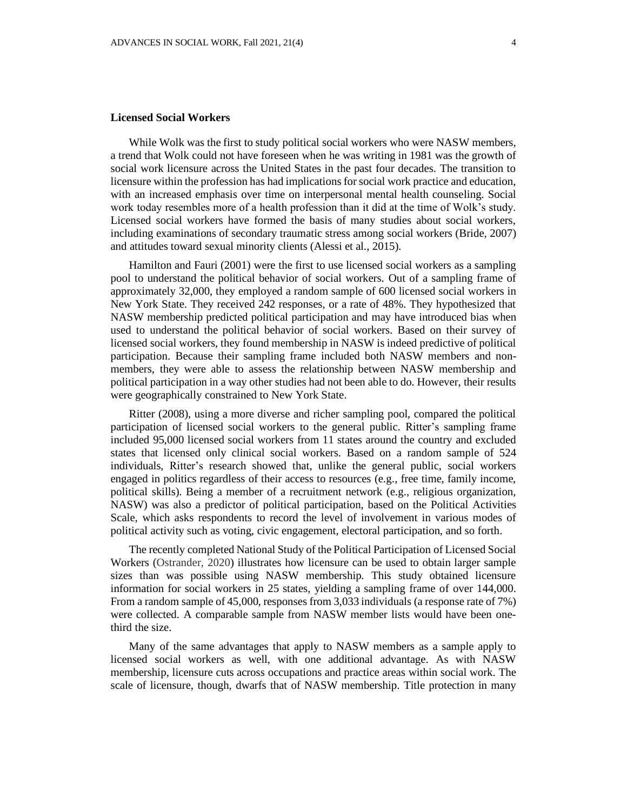#### **Licensed Social Workers**

While Wolk was the first to study political social workers who were NASW members, a trend that Wolk could not have foreseen when he was writing in 1981 was the growth of social work licensure across the United States in the past four decades. The transition to licensure within the profession has had implications for social work practice and education, with an increased emphasis over time on interpersonal mental health counseling. Social work today resembles more of a health profession than it did at the time of Wolk's study. Licensed social workers have formed the basis of many studies about social workers, including examinations of secondary traumatic stress among social workers (Bride, 2007) and attitudes toward sexual minority clients (Alessi et al., 2015).

Hamilton and Fauri (2001) were the first to use licensed social workers as a sampling pool to understand the political behavior of social workers. Out of a sampling frame of approximately 32,000, they employed a random sample of 600 licensed social workers in New York State. They received 242 responses, or a rate of 48%. They hypothesized that NASW membership predicted political participation and may have introduced bias when used to understand the political behavior of social workers. Based on their survey of licensed social workers, they found membership in NASW is indeed predictive of political participation. Because their sampling frame included both NASW members and nonmembers, they were able to assess the relationship between NASW membership and political participation in a way other studies had not been able to do. However, their results were geographically constrained to New York State.

Ritter (2008), using a more diverse and richer sampling pool, compared the political participation of licensed social workers to the general public. Ritter's sampling frame included 95,000 licensed social workers from 11 states around the country and excluded states that licensed only clinical social workers. Based on a random sample of 524 individuals, Ritter's research showed that, unlike the general public, social workers engaged in politics regardless of their access to resources (e.g., free time, family income, political skills). Being a member of a recruitment network (e.g., religious organization, NASW) was also a predictor of political participation, based on the Political Activities Scale, which asks respondents to record the level of involvement in various modes of political activity such as voting, civic engagement, electoral participation, and so forth.

The recently completed National Study of the Political Participation of Licensed Social Workers (Ostrander, 2020) illustrates how licensure can be used to obtain larger sample sizes than was possible using NASW membership. This study obtained licensure information for social workers in 25 states, yielding a sampling frame of over 144,000. From a random sample of 45,000, responses from 3,033 individuals (a response rate of 7%) were collected. A comparable sample from NASW member lists would have been onethird the size.

Many of the same advantages that apply to NASW members as a sample apply to licensed social workers as well, with one additional advantage. As with NASW membership, licensure cuts across occupations and practice areas within social work. The scale of licensure, though, dwarfs that of NASW membership. Title protection in many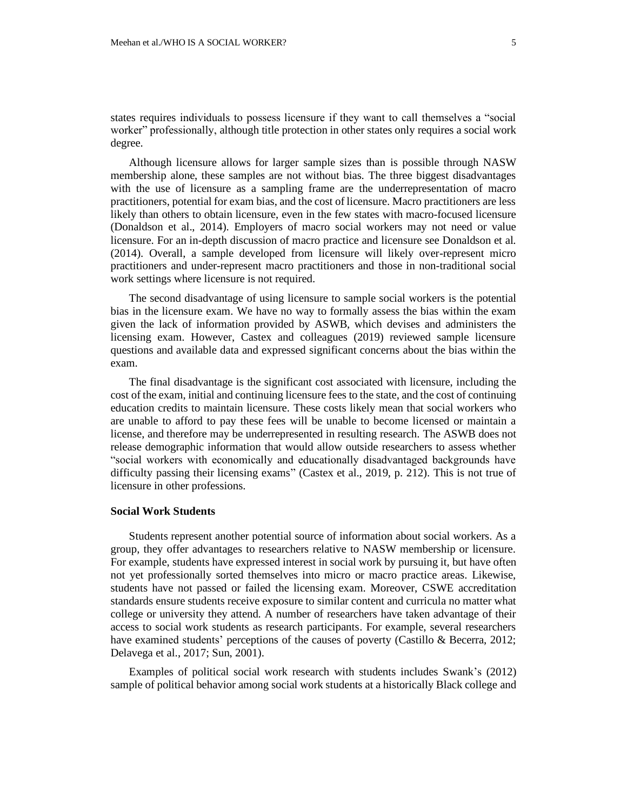states requires individuals to possess licensure if they want to call themselves a "social worker" professionally, although title protection in other states only requires a social work degree.

Although licensure allows for larger sample sizes than is possible through NASW membership alone, these samples are not without bias. The three biggest disadvantages with the use of licensure as a sampling frame are the underrepresentation of macro practitioners, potential for exam bias, and the cost of licensure. Macro practitioners are less likely than others to obtain licensure, even in the few states with macro-focused licensure (Donaldson et al., 2014). Employers of macro social workers may not need or value licensure. For an in-depth discussion of macro practice and licensure see Donaldson et al. (2014). Overall, a sample developed from licensure will likely over-represent micro practitioners and under-represent macro practitioners and those in non-traditional social work settings where licensure is not required.

The second disadvantage of using licensure to sample social workers is the potential bias in the licensure exam. We have no way to formally assess the bias within the exam given the lack of information provided by ASWB, which devises and administers the licensing exam. However, Castex and colleagues (2019) reviewed sample licensure questions and available data and expressed significant concerns about the bias within the exam.

The final disadvantage is the significant cost associated with licensure, including the cost of the exam, initial and continuing licensure fees to the state, and the cost of continuing education credits to maintain licensure. These costs likely mean that social workers who are unable to afford to pay these fees will be unable to become licensed or maintain a license, and therefore may be underrepresented in resulting research. The ASWB does not release demographic information that would allow outside researchers to assess whether "social workers with economically and educationally disadvantaged backgrounds have difficulty passing their licensing exams" (Castex et al., 2019, p. 212). This is not true of licensure in other professions.

#### **Social Work Students**

Students represent another potential source of information about social workers. As a group, they offer advantages to researchers relative to NASW membership or licensure. For example, students have expressed interest in social work by pursuing it, but have often not yet professionally sorted themselves into micro or macro practice areas. Likewise, students have not passed or failed the licensing exam. Moreover, CSWE accreditation standards ensure students receive exposure to similar content and curricula no matter what college or university they attend. A number of researchers have taken advantage of their access to social work students as research participants. For example, several researchers have examined students' perceptions of the causes of poverty (Castillo & Becerra, 2012; Delavega et al., 2017; Sun, 2001).

Examples of political social work research with students includes Swank's (2012) sample of political behavior among social work students at a historically Black college and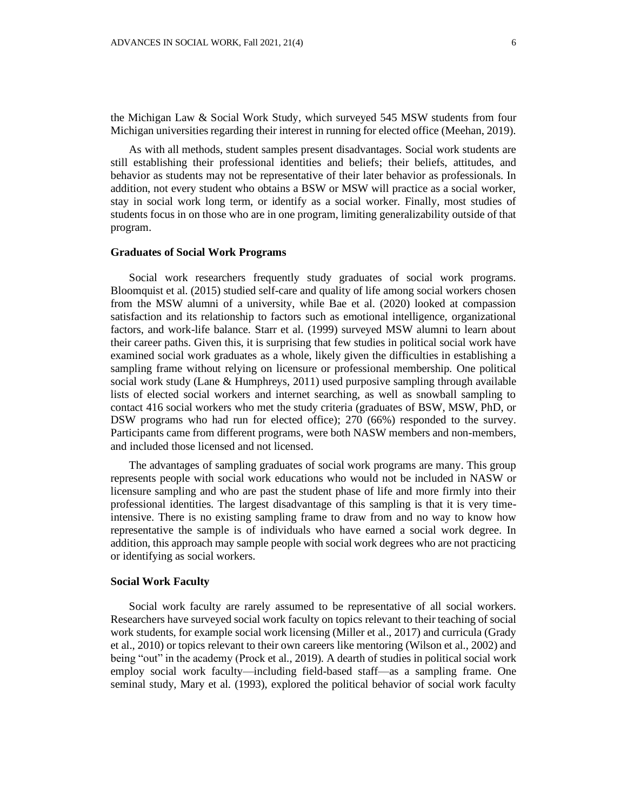As with all methods, student samples present disadvantages. Social work students are still establishing their professional identities and beliefs; their beliefs, attitudes, and behavior as students may not be representative of their later behavior as professionals. In addition, not every student who obtains a BSW or MSW will practice as a social worker, stay in social work long term, or identify as a social worker. Finally, most studies of students focus in on those who are in one program, limiting generalizability outside of that program.

## **Graduates of Social Work Programs**

Social work researchers frequently study graduates of social work programs. Bloomquist et al. (2015) studied self-care and quality of life among social workers chosen from the MSW alumni of a university, while Bae et al. (2020) looked at compassion satisfaction and its relationship to factors such as emotional intelligence, organizational factors, and work-life balance. Starr et al. (1999) surveyed MSW alumni to learn about their career paths. Given this, it is surprising that few studies in political social work have examined social work graduates as a whole, likely given the difficulties in establishing a sampling frame without relying on licensure or professional membership. One political social work study (Lane & Humphreys, 2011) used purposive sampling through available lists of elected social workers and internet searching, as well as snowball sampling to contact 416 social workers who met the study criteria (graduates of BSW, MSW, PhD, or DSW programs who had run for elected office); 270 (66%) responded to the survey. Participants came from different programs, were both NASW members and non-members, and included those licensed and not licensed.

The advantages of sampling graduates of social work programs are many. This group represents people with social work educations who would not be included in NASW or licensure sampling and who are past the student phase of life and more firmly into their professional identities. The largest disadvantage of this sampling is that it is very timeintensive. There is no existing sampling frame to draw from and no way to know how representative the sample is of individuals who have earned a social work degree. In addition, this approach may sample people with social work degrees who are not practicing or identifying as social workers.

#### **Social Work Faculty**

Social work faculty are rarely assumed to be representative of all social workers. Researchers have surveyed social work faculty on topics relevant to their teaching of social work students, for example social work licensing (Miller et al., 2017) and curricula (Grady et al., 2010) or topics relevant to their own careers like mentoring (Wilson et al., 2002) and being "out" in the academy (Prock et al., 2019). A dearth of studies in political social work employ social work faculty—including field-based staff—as a sampling frame. One seminal study, Mary et al. (1993), explored the political behavior of social work faculty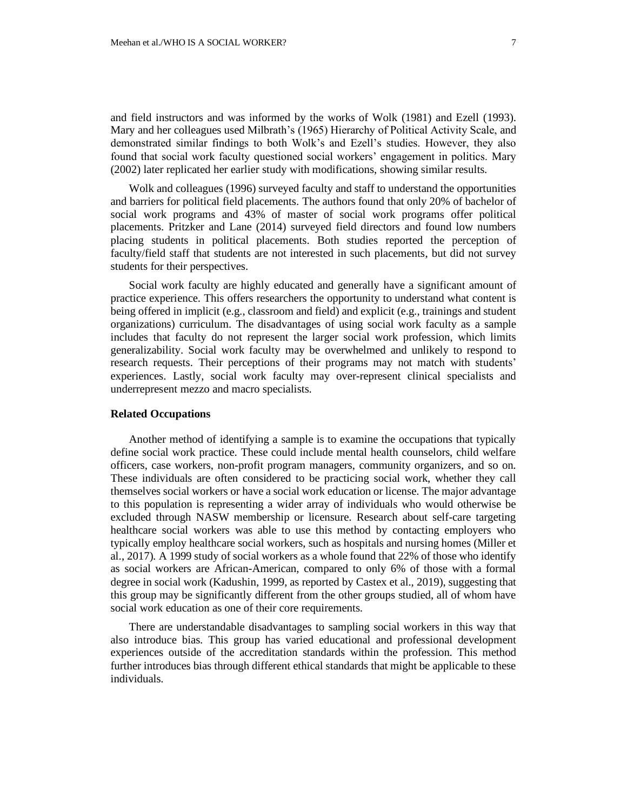and field instructors and was informed by the works of Wolk (1981) and Ezell (1993). Mary and her colleagues used Milbrath's (1965) Hierarchy of Political Activity Scale, and demonstrated similar findings to both Wolk's and Ezell's studies. However, they also found that social work faculty questioned social workers' engagement in politics. Mary (2002) later replicated her earlier study with modifications, showing similar results.

Wolk and colleagues (1996) surveyed faculty and staff to understand the opportunities and barriers for political field placements. The authors found that only 20% of bachelor of social work programs and 43% of master of social work programs offer political placements. Pritzker and Lane (2014) surveyed field directors and found low numbers placing students in political placements. Both studies reported the perception of faculty/field staff that students are not interested in such placements, but did not survey students for their perspectives.

Social work faculty are highly educated and generally have a significant amount of practice experience. This offers researchers the opportunity to understand what content is being offered in implicit (e.g., classroom and field) and explicit (e.g., trainings and student organizations) curriculum. The disadvantages of using social work faculty as a sample includes that faculty do not represent the larger social work profession, which limits generalizability. Social work faculty may be overwhelmed and unlikely to respond to research requests. Their perceptions of their programs may not match with students' experiences. Lastly, social work faculty may over-represent clinical specialists and underrepresent mezzo and macro specialists.

## **Related Occupations**

Another method of identifying a sample is to examine the occupations that typically define social work practice. These could include mental health counselors, child welfare officers, case workers, non-profit program managers, community organizers, and so on. These individuals are often considered to be practicing social work, whether they call themselves social workers or have a social work education or license. The major advantage to this population is representing a wider array of individuals who would otherwise be excluded through NASW membership or licensure. Research about self-care targeting healthcare social workers was able to use this method by contacting employers who typically employ healthcare social workers, such as hospitals and nursing homes (Miller et al., 2017). A 1999 study of social workers as a whole found that 22% of those who identify as social workers are African-American, compared to only 6% of those with a formal degree in social work (Kadushin, 1999, as reported by Castex et al., 2019), suggesting that this group may be significantly different from the other groups studied, all of whom have social work education as one of their core requirements.

There are understandable disadvantages to sampling social workers in this way that also introduce bias. This group has varied educational and professional development experiences outside of the accreditation standards within the profession. This method further introduces bias through different ethical standards that might be applicable to these individuals.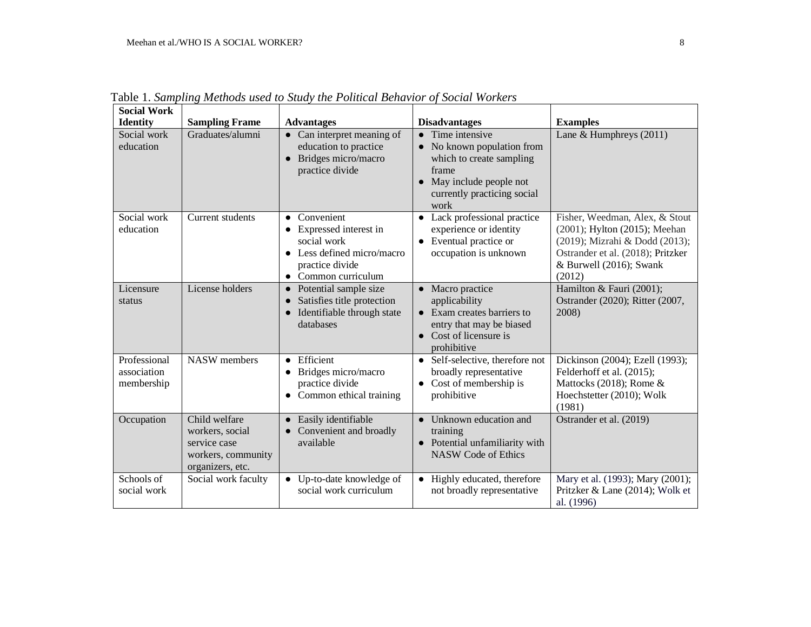| <b>Social Work</b>                        |                                                                                            |                                                                                                                                         |                                                                                                                                                                           |                                                                                                                                                                             |
|-------------------------------------------|--------------------------------------------------------------------------------------------|-----------------------------------------------------------------------------------------------------------------------------------------|---------------------------------------------------------------------------------------------------------------------------------------------------------------------------|-----------------------------------------------------------------------------------------------------------------------------------------------------------------------------|
| <b>Identity</b>                           | <b>Sampling Frame</b>                                                                      | <b>Advantages</b>                                                                                                                       | <b>Disadvantages</b>                                                                                                                                                      | <b>Examples</b>                                                                                                                                                             |
| Social work<br>education                  | Graduates/alumni                                                                           | • Can interpret meaning of<br>education to practice<br>Bridges micro/macro<br>$\bullet$<br>practice divide                              | $\bullet$ Time intensive<br>No known population from<br>$\bullet$<br>which to create sampling<br>frame<br>• May include people not<br>currently practicing social<br>work | Lane & Humphreys (2011)                                                                                                                                                     |
| Social work<br>education                  | Current students                                                                           | • Convenient<br>Expressed interest in<br>social work<br>• Less defined micro/macro<br>practice divide<br>Common curriculum<br>$\bullet$ | • Lack professional practice<br>experience or identity<br>Eventual practice or<br>$\bullet$<br>occupation is unknown                                                      | Fisher, Weedman, Alex, & Stout<br>(2001); Hylton (2015); Meehan<br>(2019); Mizrahi & Dodd (2013);<br>Ostrander et al. (2018); Pritzker<br>& Burwell (2016); Swank<br>(2012) |
| Licensure<br>status                       | License holders                                                                            | • Potential sample size<br>Satisfies title protection<br>$\bullet$<br>• Identifiable through state<br>databases                         | • Macro practice<br>applicability<br>• Exam creates barriers to<br>entry that may be biased<br>• Cost of licensure is<br>prohibitive                                      | Hamilton & Fauri (2001);<br>Ostrander (2020); Ritter (2007,<br>2008)                                                                                                        |
| Professional<br>association<br>membership | <b>NASW</b> members                                                                        | Efficient<br>$\bullet$<br>Bridges micro/macro<br>$\bullet$<br>practice divide<br>Common ethical training                                | Self-selective, therefore not<br>$\bullet$<br>broadly representative<br>Cost of membership is<br>$\bullet$<br>prohibitive                                                 | Dickinson (2004); Ezell (1993);<br>Felderhoff et al. (2015);<br>Mattocks (2018); Rome $&$<br>Hoechstetter (2010); Wolk<br>(1981)                                            |
| Occupation                                | Child welfare<br>workers, social<br>service case<br>workers, community<br>organizers, etc. | • Easily identifiable<br>• Convenient and broadly<br>available                                                                          | • Unknown education and<br>training<br>• Potential unfamiliarity with<br><b>NASW</b> Code of Ethics                                                                       | Ostrander et al. (2019)                                                                                                                                                     |
| Schools of<br>social work                 | Social work faculty                                                                        | • Up-to-date knowledge of<br>social work curriculum                                                                                     | • Highly educated, therefore<br>not broadly representative                                                                                                                | Mary et al. (1993); Mary (2001);<br>Pritzker & Lane (2014); Wolk et<br>al. (1996)                                                                                           |

Table 1. *Sampling Methods used to Study the Political Behavior of Social Workers*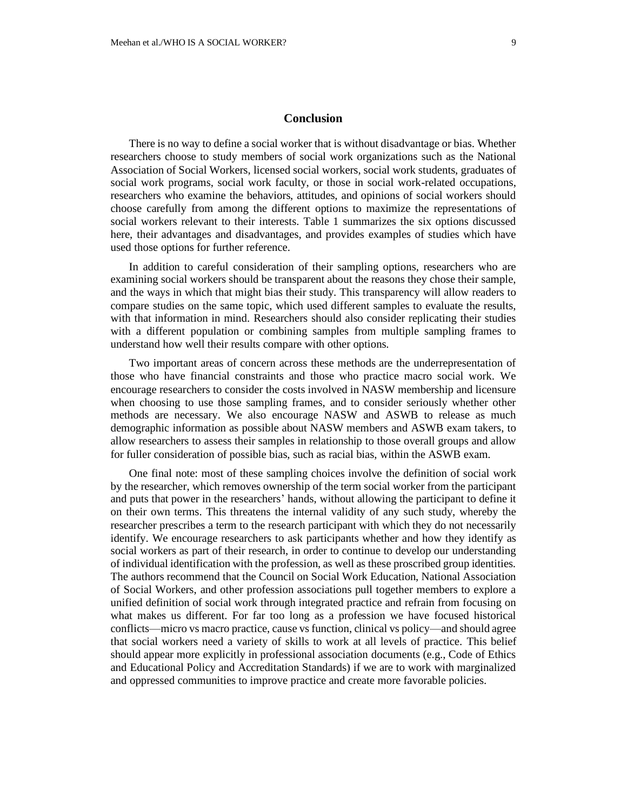## **Conclusion**

There is no way to define a social worker that is without disadvantage or bias. Whether researchers choose to study members of social work organizations such as the National Association of Social Workers, licensed social workers, social work students, graduates of social work programs, social work faculty, or those in social work-related occupations, researchers who examine the behaviors, attitudes, and opinions of social workers should choose carefully from among the different options to maximize the representations of social workers relevant to their interests. Table 1 summarizes the six options discussed here, their advantages and disadvantages, and provides examples of studies which have used those options for further reference.

In addition to careful consideration of their sampling options, researchers who are examining social workers should be transparent about the reasons they chose their sample, and the ways in which that might bias their study. This transparency will allow readers to compare studies on the same topic, which used different samples to evaluate the results, with that information in mind. Researchers should also consider replicating their studies with a different population or combining samples from multiple sampling frames to understand how well their results compare with other options.

Two important areas of concern across these methods are the underrepresentation of those who have financial constraints and those who practice macro social work. We encourage researchers to consider the costs involved in NASW membership and licensure when choosing to use those sampling frames, and to consider seriously whether other methods are necessary. We also encourage NASW and ASWB to release as much demographic information as possible about NASW members and ASWB exam takers, to allow researchers to assess their samples in relationship to those overall groups and allow for fuller consideration of possible bias, such as racial bias, within the ASWB exam.

One final note: most of these sampling choices involve the definition of social work by the researcher, which removes ownership of the term social worker from the participant and puts that power in the researchers' hands, without allowing the participant to define it on their own terms. This threatens the internal validity of any such study, whereby the researcher prescribes a term to the research participant with which they do not necessarily identify. We encourage researchers to ask participants whether and how they identify as social workers as part of their research, in order to continue to develop our understanding of individual identification with the profession, as well as these proscribed group identities. The authors recommend that the Council on Social Work Education, National Association of Social Workers, and other profession associations pull together members to explore a unified definition of social work through integrated practice and refrain from focusing on what makes us different. For far too long as a profession we have focused historical conflicts—micro vs macro practice, cause vs function, clinical vs policy—and should agree that social workers need a variety of skills to work at all levels of practice. This belief should appear more explicitly in professional association documents (e.g., Code of Ethics and Educational Policy and Accreditation Standards) if we are to work with marginalized and oppressed communities to improve practice and create more favorable policies.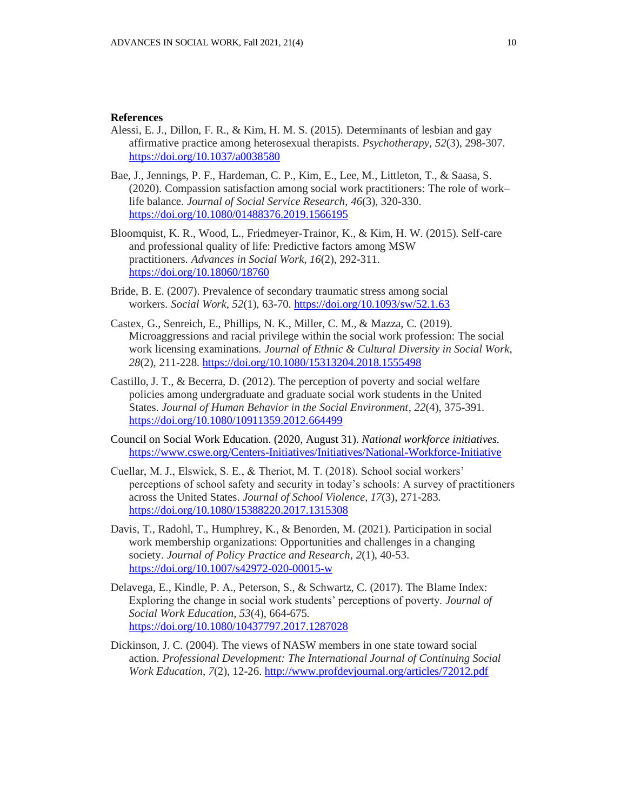## **References**

- Alessi, E. J., Dillon, F. R., & Kim, H. M. S. (2015). Determinants of lesbian and gay affirmative practice among heterosexual therapists. *Psychotherapy*, *52*(3), 298-307. <https://doi.org/10.1037/a0038580>
- Bae, J., Jennings, P. F., Hardeman, C. P., Kim, E., Lee, M., Littleton, T., & Saasa, S. (2020). Compassion satisfaction among social work practitioners: The role of work– life balance. *Journal of Social Service Research*, *46*(3), 320-330. <https://doi.org/10.1080/01488376.2019.1566195>
- Bloomquist, K. R., Wood, L., Friedmeyer-Trainor, K., & Kim, H. W. (2015). Self-care and professional quality of life: Predictive factors among MSW practitioners. *Advances in Social Work*, *16*(2), 292-311. <https://doi.org/10.18060/18760>
- Bride, B. E. (2007). Prevalence of secondary traumatic stress among social workers. *Social Work*, *52*(1), 63-70. <https://doi.org/10.1093/sw/52.1.63>
- Castex, G., Senreich, E., Phillips, N. K., Miller, C. M., & Mazza, C. (2019). Microaggressions and racial privilege within the social work profession: The social work licensing examinations. *Journal of Ethnic & Cultural Diversity in Social Work*, *28*(2), 211-228. <https://doi.org/10.1080/15313204.2018.1555498>
- Castillo, J. T., & Becerra, D. (2012). The perception of poverty and social welfare policies among undergraduate and graduate social work students in the United States. *Journal of Human Behavior in the Social Environment*, *22*(4), 375-391. <https://doi.org/10.1080/10911359.2012.664499>
- Council on Social Work Education. (2020, August 31). *National workforce initiatives.* <https://www.cswe.org/Centers-Initiatives/Initiatives/National-Workforce-Initiative>
- Cuellar, M. J., Elswick, S. E., & Theriot, M. T. (2018). School social workers' perceptions of school safety and security in today's schools: A survey of practitioners across the United States. *Journal of School Violence*, *17*(3), 271-283. <https://doi.org/10.1080/15388220.2017.1315308>
- Davis, T., Radohl, T., Humphrey, K., & Benorden, M. (2021). Participation in social work membership organizations: Opportunities and challenges in a changing society. *Journal of Policy Practice and Research*, *2*(1), 40-53. <https://doi.org/10.1007/s42972-020-00015-w>
- Delavega, E., Kindle, P. A., Peterson, S., & Schwartz, C. (2017). The Blame Index: Exploring the change in social work students' perceptions of poverty. *Journal of Social Work Education*, *53*(4), 664-675. <https://doi.org/10.1080/10437797.2017.1287028>
- Dickinson, J. C. (2004). The views of NASW members in one state toward social action. *Professional Development: The International Journal of Continuing Social Work Education*, *7*(2), 12-26.<http://www.profdevjournal.org/articles/72012.pdf>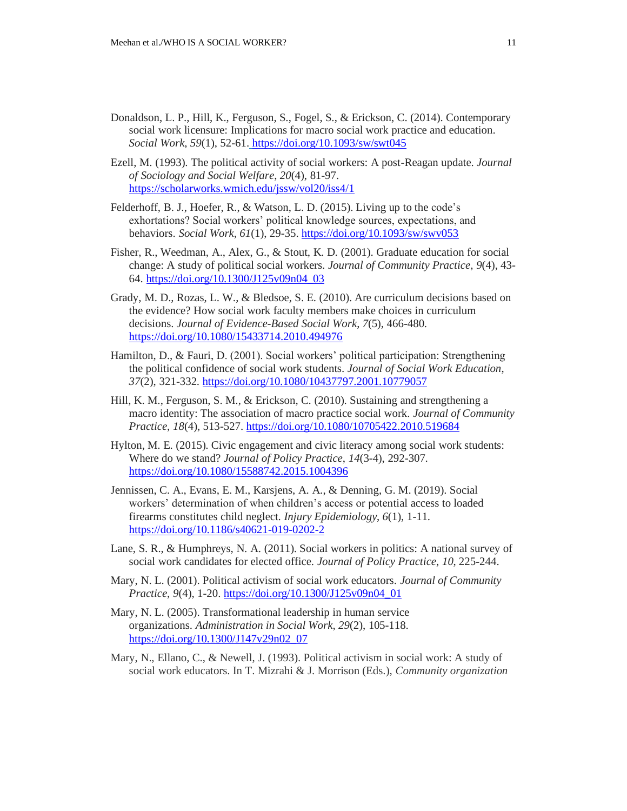- Donaldson, L. P., Hill, K., Ferguson, S., Fogel, S., & Erickson, C. (2014). Contemporary social work licensure: Implications for macro social work practice and education. *Social Work*, *59*(1), 52-61. <https://doi.org/10.1093/sw/swt045>
- Ezell, M. (1993). The political activity of social workers: A post-Reagan update. *Journal of Sociology and Social Welfare*, *20*(4), 81-97. <https://scholarworks.wmich.edu/jssw/vol20/iss4/1>
- Felderhoff, B. J., Hoefer, R., & Watson, L. D. (2015). Living up to the code's exhortations? Social workers' political knowledge sources, expectations, and behaviors. *Social Work*, *61*(1), 29-35. <https://doi.org/10.1093/sw/swv053>
- Fisher, R., Weedman, A., Alex, G., & Stout, K. D. (2001). Graduate education for social change: A study of political social workers. *Journal of Community Practice*, *9*(4), 43- 64. [https://doi.org/10.1300/J125v09n04\\_03](https://doi.org/10.1300/J125v09n04_03)
- Grady, M. D., Rozas, L. W., & Bledsoe, S. E. (2010). Are curriculum decisions based on the evidence? How social work faculty members make choices in curriculum decisions. *Journal of Evidence-Based Social Work*, *7*(5), 466-480. <https://doi.org/10.1080/15433714.2010.494976>
- Hamilton, D., & Fauri, D. (2001). Social workers' political participation: Strengthening the political confidence of social work students. *Journal of Social Work Education*, *37*(2), 321-332. <https://doi.org/10.1080/10437797.2001.10779057>
- Hill, K. M., Ferguson, S. M., & Erickson, C. (2010). Sustaining and strengthening a macro identity: The association of macro practice social work. *Journal of Community Practice*, *18*(4), 513-527. <https://doi.org/10.1080/10705422.2010.519684>
- Hylton, M. E. (2015). Civic engagement and civic literacy among social work students: Where do we stand? *Journal of Policy Practice*, *14*(3-4), 292-307. <https://doi.org/10.1080/15588742.2015.1004396>
- Jennissen, C. A., Evans, E. M., Karsjens, A. A., & Denning, G. M. (2019). Social workers' determination of when children's access or potential access to loaded firearms constitutes child neglect. *Injury Epidemiology*, *6*(1), 1-11. <https://doi.org/10.1186/s40621-019-0202-2>
- Lane, S. R., & Humphreys, N. A. (2011). Social workers in politics: A national survey of social work candidates for elected office. *Journal of Policy Practice*, *10*, 225-244.
- Mary, N. L. (2001). Political activism of social work educators. *Journal of Community Practice*, *9*(4), 1-20. [https://doi.org/10.1300/J125v09n04\\_01](https://doi.org/10.1300/J125v09n04_01)
- Mary, N. L. (2005). Transformational leadership in human service organizations. *Administration in Social Work*, *29*(2), 105-118. [https://doi.org/10.1300/J147v29n02\\_07](https://doi.org/10.1300/J147v29n02_07)
- Mary, N., Ellano, C., & Newell, J. (1993). Political activism in social work: A study of social work educators. In T. Mizrahi & J. Morrison (Eds.), *Community organization*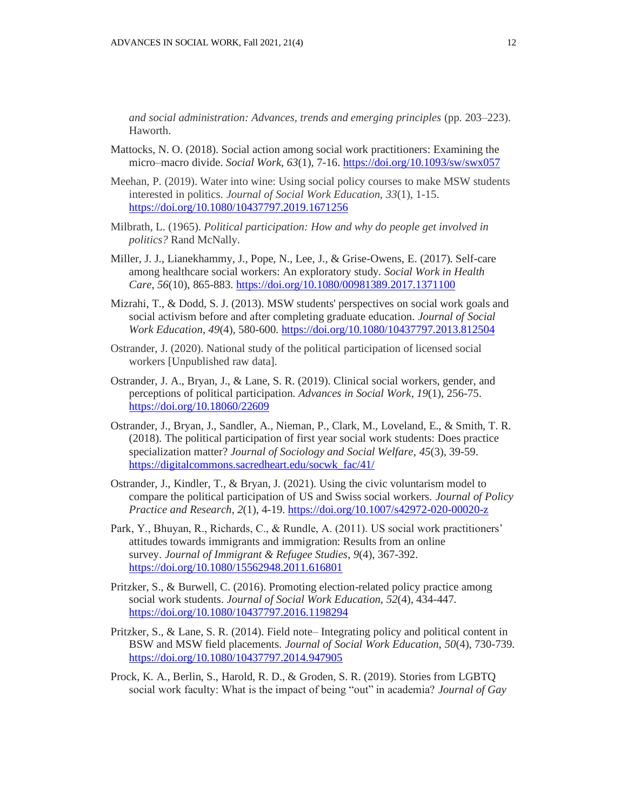*and social administration: Advances, trends and emerging principles* (pp. 203–223). Haworth.

- Mattocks, N. O. (2018). Social action among social work practitioners: Examining the micro–macro divide. *Social Work*, *63*(1), 7-16. <https://doi.org/10.1093/sw/swx057>
- Meehan, P. (2019). Water into wine: Using social policy courses to make MSW students interested in politics. *Journal of Social Work Education*, *33*(1), 1-15. <https://doi.org/10.1080/10437797.2019.1671256>
- Milbrath, L. (1965). *Political participation: How and why do people get involved in politics?* Rand McNally.
- Miller, J. J., Lianekhammy, J., Pope, N., Lee, J., & Grise-Owens, E. (2017). Self-care among healthcare social workers: An exploratory study. *Social Work in Health Care*, *56*(10), 865-883. <https://doi.org/10.1080/00981389.2017.1371100>
- Mizrahi, T., & Dodd, S. J. (2013). MSW students' perspectives on social work goals and social activism before and after completing graduate education. *Journal of Social Work Education*, *49*(4), 580-600. <https://doi.org/10.1080/10437797.2013.812504>
- Ostrander, J. (2020). National study of the political participation of licensed social workers [Unpublished raw data].
- Ostrander, J. A., Bryan, J., & Lane, S. R. (2019). Clinical social workers, gender, and perceptions of political participation. *Advances in Social Work*, *19*(1), 256-75. <https://doi.org/10.18060/22609>
- Ostrander, J., Bryan, J., Sandler, A., Nieman, P., Clark, M., Loveland, E., & Smith, T. R. (2018). The political participation of first year social work students: Does practice specialization matter? *Journal of Sociology and Social Welfare*, *45*(3), 39-59. [https://digitalcommons.sacredheart.edu/socwk\\_fac/41/](https://digitalcommons.sacredheart.edu/socwk_fac/41/)
- Ostrander, J., Kindler, T., & Bryan, J. (2021). Using the civic voluntarism model to compare the political participation of US and Swiss social workers. *Journal of Policy Practice and Research*, *2*(1), 4-19. <https://doi.org/10.1007/s42972-020-00020-z>
- Park, Y., Bhuyan, R., Richards, C., & Rundle, A. (2011). US social work practitioners' attitudes towards immigrants and immigration: Results from an online survey. *Journal of Immigrant & Refugee Studies*, *9*(4), 367-392. <https://doi.org/10.1080/15562948.2011.616801>
- Pritzker, S., & Burwell, C. (2016). Promoting election-related policy practice among social work students. *Journal of Social Work Education*, *52*(4), 434-447. <https://doi.org/10.1080/10437797.2016.1198294>
- Pritzker, S., & Lane, S. R. (2014). Field note– Integrating policy and political content in BSW and MSW field placements. *Journal of Social Work Education*, *50*(4), 730-739. <https://doi.org/10.1080/10437797.2014.947905>
- Prock, K. A., Berlin, S., Harold, R. D., & Groden, S. R. (2019). Stories from LGBTQ social work faculty: What is the impact of being "out" in academia? *Journal of Gay*